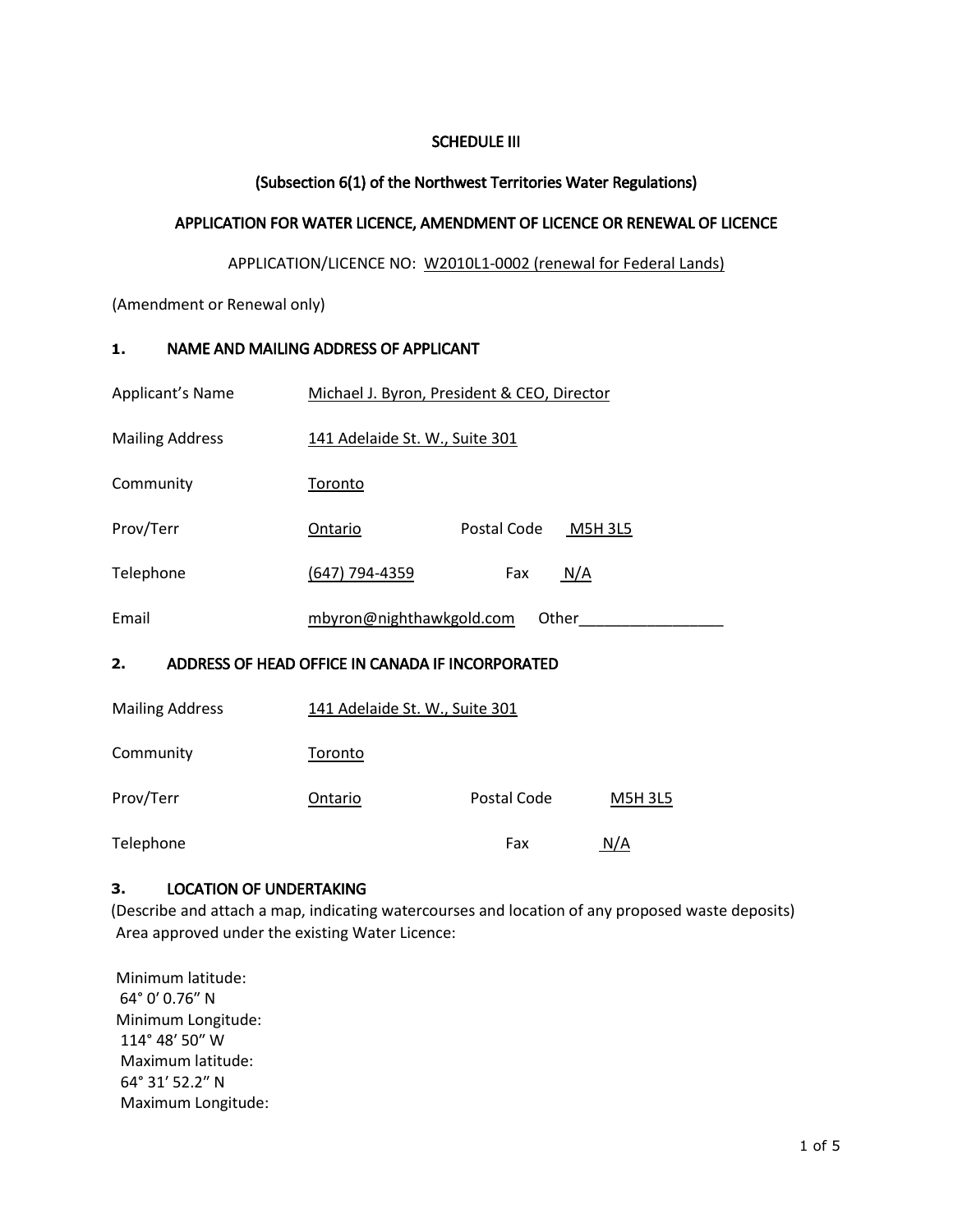# SCHEDULE III

## (Subsection 6(1) of the Northwest Territories Water Regulations)

## APPLICATION FOR WATER LICENCE, AMENDMENT OF LICENCE OR RENEWAL OF LICENCE

#### APPLICATION/LICENCE NO: W2010L1-0002 (renewal for Federal Lands)

(Amendment or Renewal only)

#### **1.** NAME AND MAILING ADDRESS OF APPLICANT

| Applicant's Name                                       | Michael J. Byron, President & CEO, Director |             |                |  |  |
|--------------------------------------------------------|---------------------------------------------|-------------|----------------|--|--|
| <b>Mailing Address</b>                                 | 141 Adelaide St. W., Suite 301              |             |                |  |  |
| Community                                              | <b>Toronto</b>                              |             |                |  |  |
| Prov/Terr                                              | Ontario                                     | Postal Code | <b>M5H 3L5</b> |  |  |
| Telephone                                              | (647) 794-4359                              | Fax         | N/A            |  |  |
| Email                                                  | mbyron@nighthawkgold.com<br>Other           |             |                |  |  |
| 2.<br>ADDRESS OF HEAD OFFICE IN CANADA IF INCORPORATED |                                             |             |                |  |  |
| <b>Mailing Address</b>                                 | 141 Adelaide St. W., Suite 301              |             |                |  |  |
| Community                                              | Toronto                                     |             |                |  |  |
| Prov/Terr                                              | Ontario                                     | Postal Code | <b>M5H 3L5</b> |  |  |
| Telephone                                              |                                             | Fax         | N/A            |  |  |

#### **3.** LOCATION OF UNDERTAKING

(Describe and attach a map, indicating watercourses and location of any proposed waste deposits) Area approved under the existing Water Licence:

Minimum latitude: 64° 0′ 0.76″ N Minimum Longitude: 114° 48′ 50″ W Maximum latitude: 64° 31′ 52.2″ N Maximum Longitude: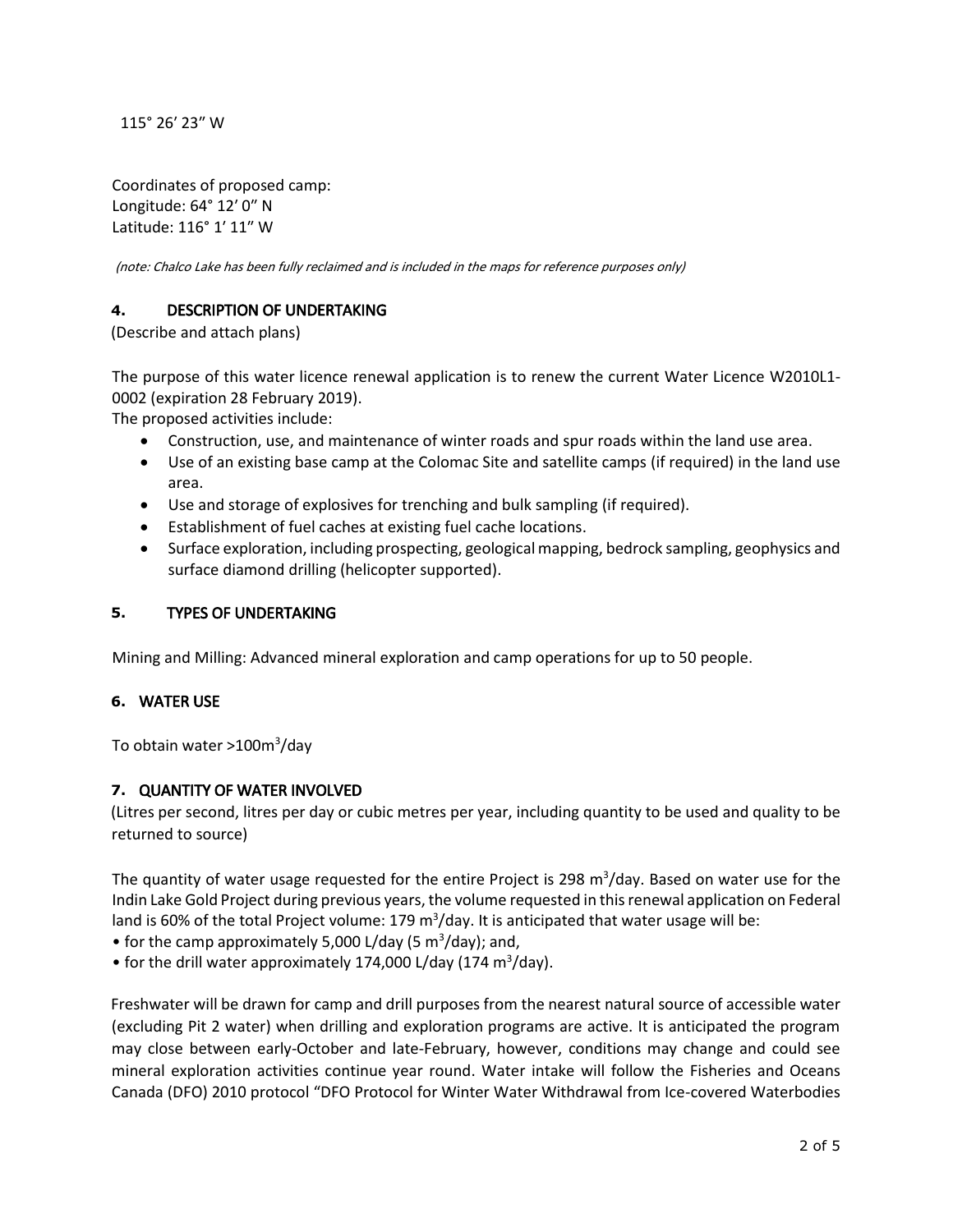115° 26′ 23″ W

Coordinates of proposed camp: Longitude: 64° 12′ 0″ N Latitude: 116° 1′ 11″ W

(note: Chalco Lake has been fully reclaimed and is included in the maps for reference purposes only)

## **4.** DESCRIPTION OF UNDERTAKING

(Describe and attach plans)

The purpose of this water licence renewal application is to renew the current Water Licence W2010L1- 0002 (expiration 28 February 2019).

The proposed activities include:

- Construction, use, and maintenance of winter roads and spur roads within the land use area.
- Use of an existing base camp at the Colomac Site and satellite camps (if required) in the land use area.
- Use and storage of explosives for trenching and bulk sampling (if required).
- Establishment of fuel caches at existing fuel cache locations.
- Surface exploration, including prospecting, geological mapping, bedrock sampling, geophysics and surface diamond drilling (helicopter supported).

## **5.** TYPES OF UNDERTAKING

Mining and Milling: Advanced mineral exploration and camp operations for up to 50 people.

### **6.** WATER USE

To obtain water >100m<sup>3</sup>/day

### **7.** QUANTITY OF WATER INVOLVED

(Litres per second, litres per day or cubic metres per year, including quantity to be used and quality to be returned to source)

The quantity of water usage requested for the entire Project is 298 m<sup>3</sup>/day. Based on water use for the Indin Lake Gold Project during previous years, the volume requested in this renewal application on Federal land is 60% of the total Project volume: 179 m<sup>3</sup>/day. It is anticipated that water usage will be:

• for the camp approximately 5,000 L/day (5  $m^3$ /day); and,

• for the drill water approximately 174,000 L/day (174 m<sup>3</sup>/day).

Freshwater will be drawn for camp and drill purposes from the nearest natural source of accessible water (excluding Pit 2 water) when drilling and exploration programs are active. It is anticipated the program may close between early-October and late-February, however, conditions may change and could see mineral exploration activities continue year round. Water intake will follow the Fisheries and Oceans Canada (DFO) 2010 protocol "DFO Protocol for Winter Water Withdrawal from Ice-covered Waterbodies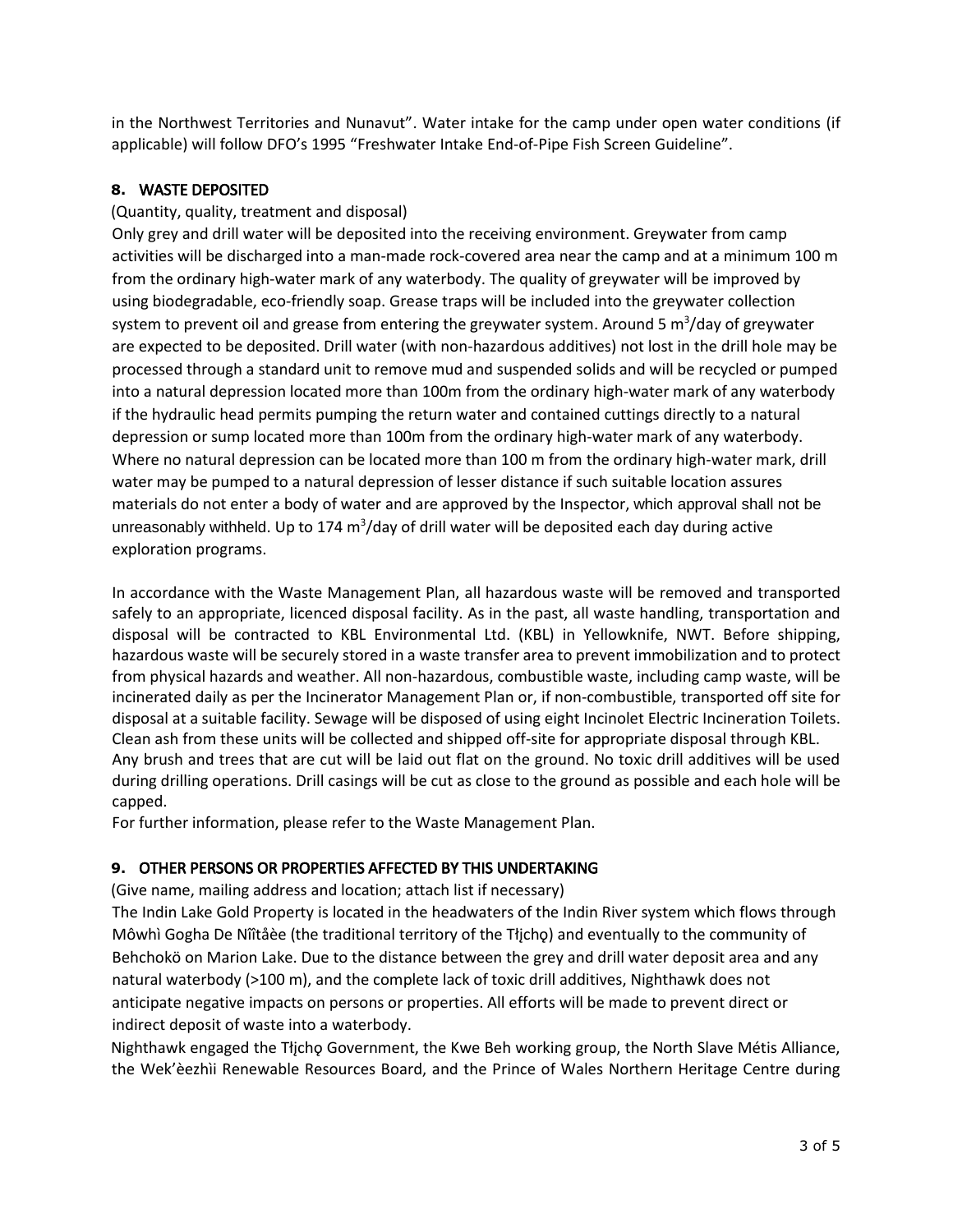in the Northwest Territories and Nunavut". Water intake for the camp under open water conditions (if applicable) will follow DFO's 1995 "Freshwater Intake End-of-Pipe Fish Screen Guideline".

# **8.** WASTE DEPOSITED

## (Quantity, quality, treatment and disposal)

Only grey and drill water will be deposited into the receiving environment. Greywater from camp activities will be discharged into a man-made rock-covered area near the camp and at a minimum 100 m from the ordinary high-water mark of any waterbody. The quality of greywater will be improved by using biodegradable, eco-friendly soap. Grease traps will be included into the greywater collection system to prevent oil and grease from entering the greywater system. Around 5 m<sup>3</sup>/day of greywater are expected to be deposited. Drill water (with non-hazardous additives) not lost in the drill hole may be processed through a standard unit to remove mud and suspended solids and will be recycled or pumped into a natural depression located more than 100m from the ordinary high-water mark of any waterbody if the hydraulic head permits pumping the return water and contained cuttings directly to a natural depression or sump located more than 100m from the ordinary high-water mark of any waterbody. Where no natural depression can be located more than 100 m from the ordinary high-water mark, drill water may be pumped to a natural depression of lesser distance if such suitable location assures materials do not enter a body of water and are approved by the Inspector, which approval shall not be unreasonably withheld. Up to 174  $\text{m}^3/\text{day}$  of drill water will be deposited each day during active exploration programs.

In accordance with the Waste Management Plan, all hazardous waste will be removed and transported safely to an appropriate, licenced disposal facility. As in the past, all waste handling, transportation and disposal will be contracted to KBL Environmental Ltd. (KBL) in Yellowknife, NWT. Before shipping, hazardous waste will be securely stored in a waste transfer area to prevent immobilization and to protect from physical hazards and weather. All non-hazardous, combustible waste, including camp waste, will be incinerated daily as per the Incinerator Management Plan or, if non-combustible, transported off site for disposal at a suitable facility. Sewage will be disposed of using eight Incinolet Electric Incineration Toilets. Clean ash from these units will be collected and shipped off-site for appropriate disposal through KBL. Any brush and trees that are cut will be laid out flat on the ground. No toxic drill additives will be used during drilling operations. Drill casings will be cut as close to the ground as possible and each hole will be capped.

For further information, please refer to the Waste Management Plan.

# **9.** OTHER PERSONS OR PROPERTIES AFFECTED BY THIS UNDERTAKING

(Give name, mailing address and location; attach list if necessary)

The Indin Lake Gold Property is located in the headwaters of the Indin River system which flows through Môwhì Gogha De Nîîtåèe (the traditional territory of the Tłįchǫ) and eventually to the community of Behchokö on Marion Lake. Due to the distance between the grey and drill water deposit area and any natural waterbody (>100 m), and the complete lack of toxic drill additives, Nighthawk does not anticipate negative impacts on persons or properties. All efforts will be made to prevent direct or indirect deposit of waste into a waterbody.

Nighthawk engaged the Tłįchǫ Government, the Kwe Beh working group, the North Slave Métis Alliance, the Wek'èezhìi Renewable Resources Board, and the Prince of Wales Northern Heritage Centre during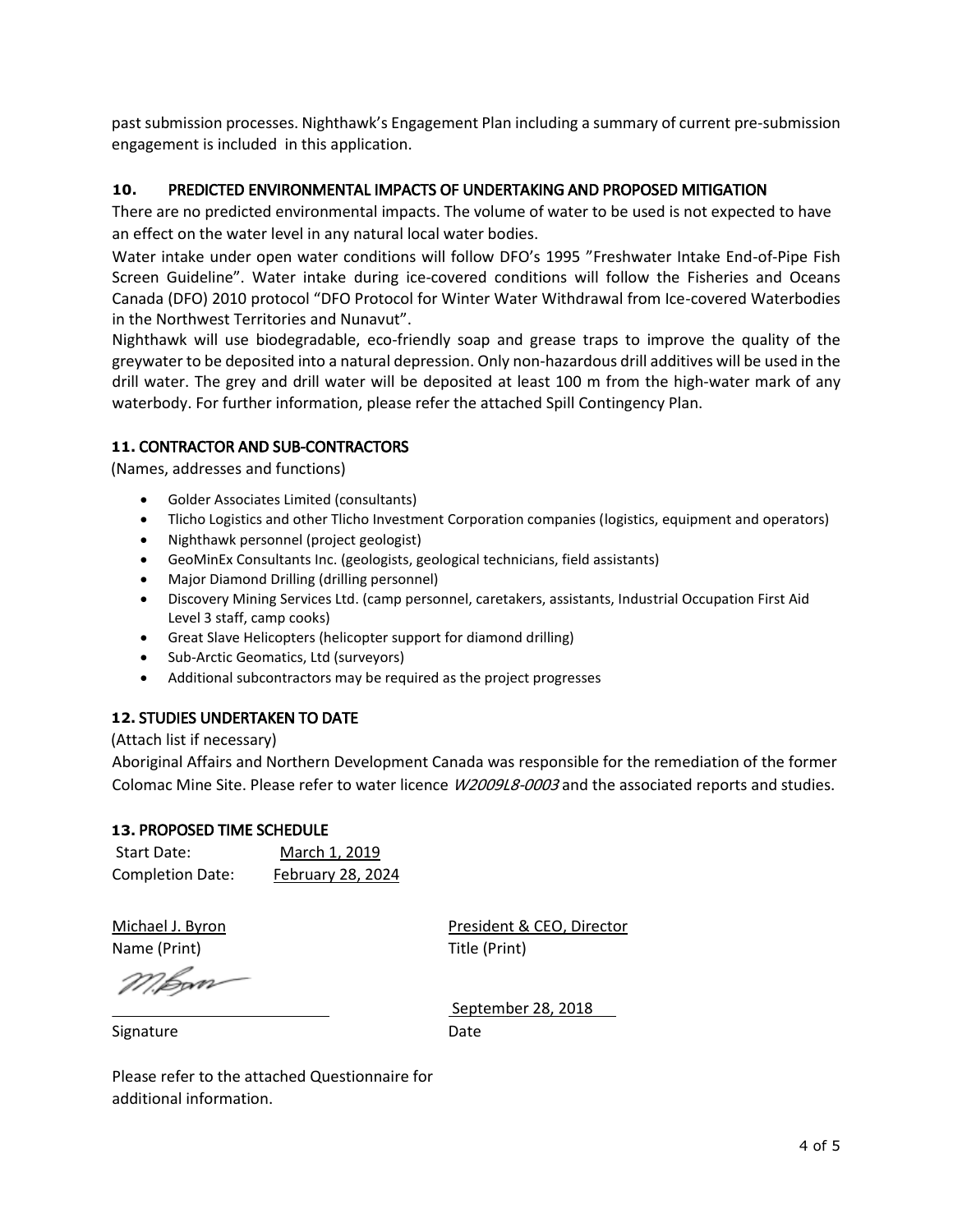past submission processes. Nighthawk's Engagement Plan including a summary of current pre-submission engagement is included in this application.

### **10.** PREDICTED ENVIRONMENTAL IMPACTS OF UNDERTAKING AND PROPOSED MITIGATION

There are no predicted environmental impacts. The volume of water to be used is not expected to have an effect on the water level in any natural local water bodies.

Water intake under open water conditions will follow DFO's 1995 "Freshwater Intake End-of-Pipe Fish Screen Guideline". Water intake during ice-covered conditions will follow the Fisheries and Oceans Canada (DFO) 2010 protocol "DFO Protocol for Winter Water Withdrawal from Ice-covered Waterbodies in the Northwest Territories and Nunavut".

Nighthawk will use biodegradable, eco-friendly soap and grease traps to improve the quality of the greywater to be deposited into a natural depression. Only non-hazardous drill additives will be used in the drill water. The grey and drill water will be deposited at least 100 m from the high-water mark of any waterbody. For further information, please refer the attached Spill Contingency Plan.

### **11.** CONTRACTOR AND SUB-CONTRACTORS

(Names, addresses and functions)

- Golder Associates Limited (consultants)
- Tlicho Logistics and other Tlicho Investment Corporation companies (logistics, equipment and operators)
- Nighthawk personnel (project geologist)
- GeoMinEx Consultants Inc. (geologists, geological technicians, field assistants)
- Major Diamond Drilling (drilling personnel)
- Discovery Mining Services Ltd. (camp personnel, caretakers, assistants, Industrial Occupation First Aid Level 3 staff, camp cooks)
- Great Slave Helicopters (helicopter support for diamond drilling)
- Sub-Arctic Geomatics, Ltd (surveyors)
- Additional subcontractors may be required as the project progresses

### **12.** STUDIES UNDERTAKEN TO DATE

#### (Attach list if necessary)

Aboriginal Affairs and Northern Development Canada was responsible for the remediation of the former Colomac Mine Site. Please refer to water licence *W2009L8-0003* and the associated reports and studies.

### **13.** PROPOSED TIME SCHEDULE

| Start Date:             | March 1, 2019     |
|-------------------------|-------------------|
| <b>Completion Date:</b> | February 28, 2024 |

Name (Print) Title (Print)

Michael J. Byron President & CEO, Director

M.<del>bo</del>m

September 28, 2018

Signature

Date

Please refer to the attached Questionnaire for additional information.